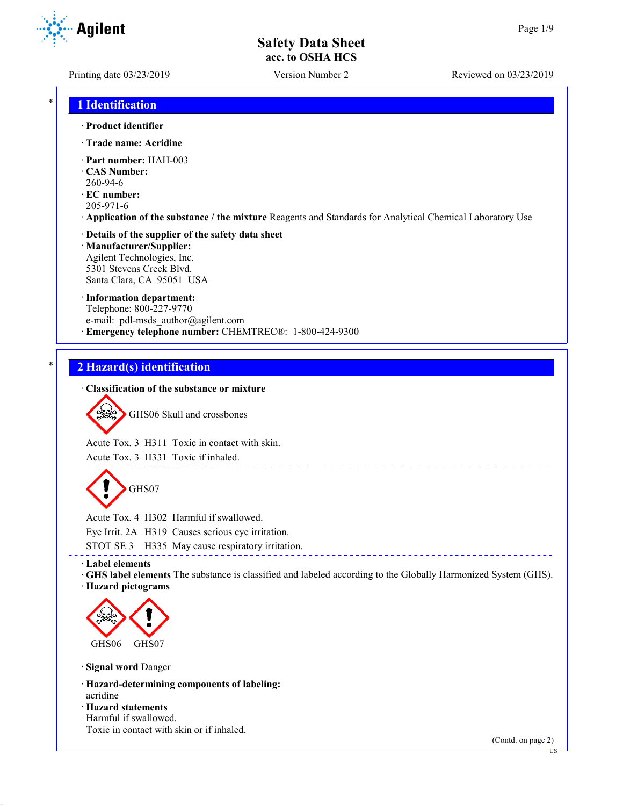**Agilent** 

Printing date 03/23/2019 Version Number 2 Reviewed on 03/23/2019

# \* **1 Identification**

## · **Product identifier**

- · **Trade name: Acridine**
- · **Part number:** HAH-003
- · **CAS Number:**
- 260-94-6
- · **EC number:**
- 205-971-6
- · **Application of the substance / the mixture** Reagents and Standards for Analytical Chemical Laboratory Use

# · **Details of the supplier of the safety data sheet** · **Manufacturer/Supplier:**

Agilent Technologies, Inc. 5301 Stevens Creek Blvd. Santa Clara, CA 95051 USA

## · **Information department:**

Telephone: 800-227-9770 e-mail: pdl-msds author@agilent.com · **Emergency telephone number:** CHEMTREC®: 1-800-424-9300

# \* **2 Hazard(s) identification**

## · **Classification of the substance or mixture**



Acute Tox. 3 H311 Toxic in contact with skin.

Acute Tox. 3 H331 Toxic if inhaled.

GHS07

Acute Tox. 4 H302 Harmful if swallowed. Eye Irrit. 2A H319 Causes serious eye irritation. STOT SE 3 H335 May cause respiratory irritation.

#### · **Label elements**

· **GHS label elements** The substance is classified and labeled according to the Globally Harmonized System (GHS). · **Hazard pictograms**

**Service** 

<u>. . . . . . . .</u>



· **Signal word** Danger

- · **Hazard-determining components of labeling:** acridine
- · **Hazard statements**
- Harmful if swallowed. Toxic in contact with skin or if inhaled.

(Contd. on page 2)

US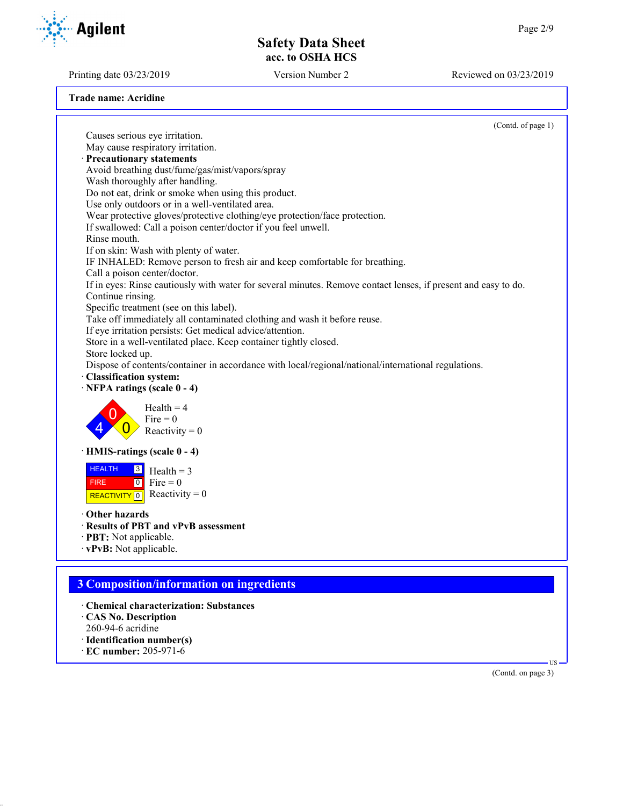Printing date 03/23/2019 Version Number 2 Reviewed on 03/23/2019

**Agilent** 

| Trade name: Acridine |
|----------------------|
|----------------------|

|                                                                                                                | (Contd. of page 1) |
|----------------------------------------------------------------------------------------------------------------|--------------------|
| Causes serious eye irritation.                                                                                 |                    |
| May cause respiratory irritation.                                                                              |                    |
| Precautionary statements                                                                                       |                    |
| Avoid breathing dust/fume/gas/mist/vapors/spray                                                                |                    |
| Wash thoroughly after handling.                                                                                |                    |
| Do not eat, drink or smoke when using this product.                                                            |                    |
| Use only outdoors or in a well-ventilated area.                                                                |                    |
| Wear protective gloves/protective clothing/eye protection/face protection.                                     |                    |
| If swallowed: Call a poison center/doctor if you feel unwell.                                                  |                    |
| Rinse mouth.                                                                                                   |                    |
| If on skin: Wash with plenty of water.                                                                         |                    |
| IF INHALED: Remove person to fresh air and keep comfortable for breathing.                                     |                    |
| Call a poison center/doctor.                                                                                   |                    |
| If in eyes: Rinse cautiously with water for several minutes. Remove contact lenses, if present and easy to do. |                    |
| Continue rinsing.                                                                                              |                    |
| Specific treatment (see on this label).                                                                        |                    |
| Take off immediately all contaminated clothing and wash it before reuse.                                       |                    |
| If eye irritation persists: Get medical advice/attention.                                                      |                    |
| Store in a well-ventilated place. Keep container tightly closed.                                               |                    |
| Store locked up.                                                                                               |                    |
| Dispose of contents/container in accordance with local/regional/national/international regulations.            |                    |
| · Classification system:                                                                                       |                    |
| $\cdot$ NFPA ratings (scale 0 - 4)                                                                             |                    |
|                                                                                                                |                    |
| $Health = 4$                                                                                                   |                    |
| $Fire = 0$                                                                                                     |                    |
| Reactivity = $0$                                                                                               |                    |
| · HMIS-ratings (scale 0 - 4)                                                                                   |                    |
|                                                                                                                |                    |
| <b>HEALTH</b><br>$\boxed{3}$<br>$Health = 3$                                                                   |                    |
| $Fire = 0$<br>$\overline{\phantom{0}}$<br><b>FIRE</b>                                                          |                    |
| Reactivity = $0$<br>REACTIVITY <sup>0</sup>                                                                    |                    |
|                                                                                                                |                    |
| Other hazards                                                                                                  |                    |
| · Results of PBT and vPvB assessment                                                                           |                    |
| · PBT: Not applicable.                                                                                         |                    |
| · vPvB: Not applicable.                                                                                        |                    |
|                                                                                                                |                    |
|                                                                                                                |                    |
| <b>3 Composition/information on ingredients</b>                                                                |                    |
| · Chemical characterization: Substances                                                                        |                    |
| CAS No. Description                                                                                            |                    |
| 260-94-6 acridine                                                                                              |                    |
| · Identification number(s)                                                                                     |                    |
| $\cdot$ EC number: 205-971-6                                                                                   |                    |
|                                                                                                                |                    |

(Contd. on page 3)

US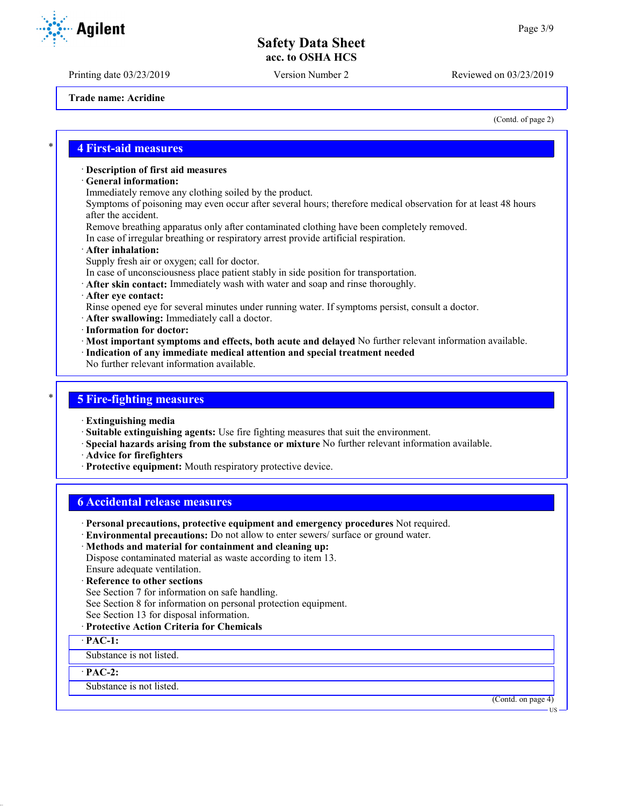Printing date 03/23/2019 Version Number 2 Reviewed on 03/23/2019

**Trade name: Acridine**

(Contd. of page 2)

## \* **4 First-aid measures**

#### · **Description of first aid measures**

- · **General information:**
- Immediately remove any clothing soiled by the product.

Symptoms of poisoning may even occur after several hours; therefore medical observation for at least 48 hours after the accident.

- Remove breathing apparatus only after contaminated clothing have been completely removed.
- In case of irregular breathing or respiratory arrest provide artificial respiration.

#### · **After inhalation:**

- Supply fresh air or oxygen; call for doctor.
- In case of unconsciousness place patient stably in side position for transportation.
- · **After skin contact:** Immediately wash with water and soap and rinse thoroughly.
- · **After eye contact:**
- Rinse opened eye for several minutes under running water. If symptoms persist, consult a doctor.
- · **After swallowing:** Immediately call a doctor.
- · **Information for doctor:**
- · **Most important symptoms and effects, both acute and delayed** No further relevant information available. · **Indication of any immediate medical attention and special treatment needed**
- No further relevant information available.

## \* **5 Fire-fighting measures**

- · **Extinguishing media**
- · **Suitable extinguishing agents:** Use fire fighting measures that suit the environment.
- · **Special hazards arising from the substance or mixture** No further relevant information available.
- · **Advice for firefighters**
- · **Protective equipment:** Mouth respiratory protective device.

## **6 Accidental release measures**

- · **Personal precautions, protective equipment and emergency procedures** Not required.
- · **Environmental precautions:** Do not allow to enter sewers/ surface or ground water.
- · **Methods and material for containment and cleaning up:**

Dispose contaminated material as waste according to item 13. Ensure adequate ventilation.

- · **Reference to other sections**
- See Section 7 for information on safe handling.
- See Section 8 for information on personal protection equipment.
- See Section 13 for disposal information.
- · **Protective Action Criteria for Chemicals**

#### · **PAC-1:**

Substance is not listed.

#### · **PAC-2:**

Substance is not listed.

(Contd. on page 4)

US

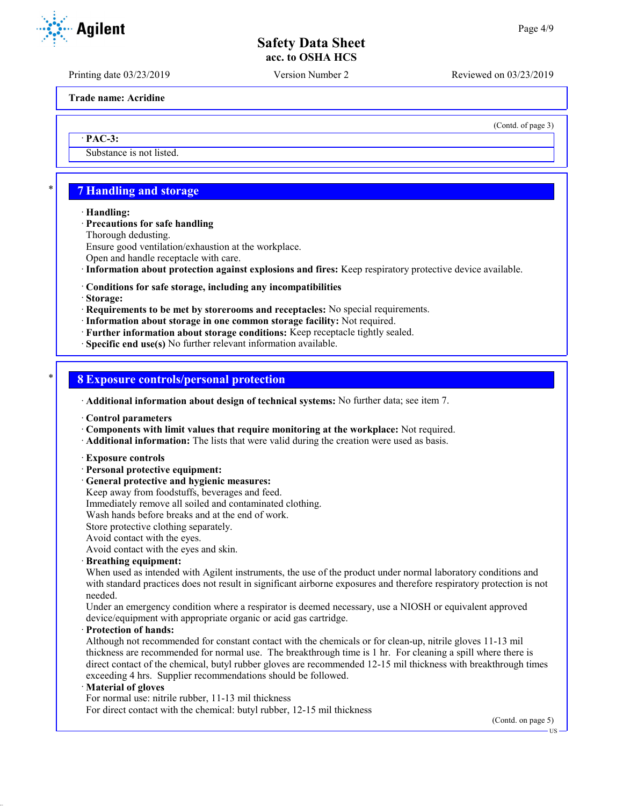Printing date 03/23/2019 Version Number 2 Reviewed on 03/23/2019

**Trade name: Acridine**

(Contd. of page 3)

· **PAC-3:**

Substance is not listed.

# \* **7 Handling and storage**

· **Handling:**

· **Precautions for safe handling**

Thorough dedusting.

Ensure good ventilation/exhaustion at the workplace.

Open and handle receptacle with care.

· **Information about protection against explosions and fires:** Keep respiratory protective device available.

## · **Conditions for safe storage, including any incompatibilities**

· **Storage:**

· **Requirements to be met by storerooms and receptacles:** No special requirements.

- · **Information about storage in one common storage facility:** Not required.
- · **Further information about storage conditions:** Keep receptacle tightly sealed.
- · **Specific end use(s)** No further relevant information available.

## \* **8 Exposure controls/personal protection**

· **Additional information about design of technical systems:** No further data; see item 7.

· **Control parameters**

- · **Components with limit values that require monitoring at the workplace:** Not required.
- · **Additional information:** The lists that were valid during the creation were used as basis.
- · **Exposure controls**
- · **Personal protective equipment:**
- · **General protective and hygienic measures:**

Keep away from foodstuffs, beverages and feed.

Immediately remove all soiled and contaminated clothing.

Wash hands before breaks and at the end of work.

Store protective clothing separately.

Avoid contact with the eyes.

Avoid contact with the eyes and skin.

· **Breathing equipment:**

When used as intended with Agilent instruments, the use of the product under normal laboratory conditions and with standard practices does not result in significant airborne exposures and therefore respiratory protection is not needed.

Under an emergency condition where a respirator is deemed necessary, use a NIOSH or equivalent approved device/equipment with appropriate organic or acid gas cartridge.

· **Protection of hands:**

Although not recommended for constant contact with the chemicals or for clean-up, nitrile gloves 11-13 mil thickness are recommended for normal use. The breakthrough time is 1 hr. For cleaning a spill where there is direct contact of the chemical, butyl rubber gloves are recommended 12-15 mil thickness with breakthrough times exceeding 4 hrs. Supplier recommendations should be followed.

#### · **Material of gloves**

For normal use: nitrile rubber, 11-13 mil thickness

For direct contact with the chemical: butyl rubber, 12-15 mil thickness

(Contd. on page 5)



US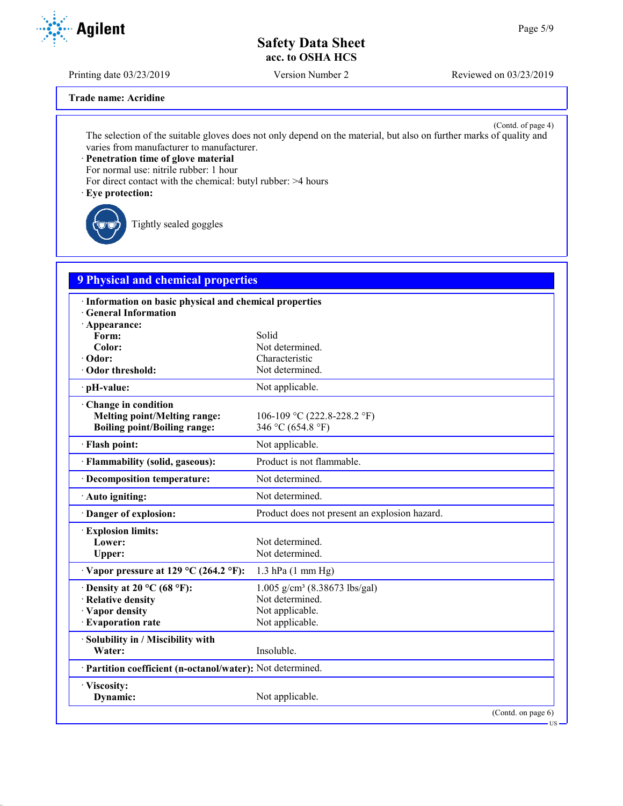Printing date 03/23/2019 Version Number 2 Reviewed on 03/23/2019

**Trade name: Acridine**

(Contd. of page 4) The selection of the suitable gloves does not only depend on the material, but also on further marks of quality and varies from manufacturer to manufacturer.

· **Penetration time of glove material**

For normal use: nitrile rubber: 1 hour

For direct contact with the chemical: butyl rubber: >4 hours

· **Eye protection:**

Tightly sealed goggles

# **9 Physical and chemical properties**

| · Information on basic physical and chemical properties<br><b>General Information</b> |                                               |  |
|---------------------------------------------------------------------------------------|-----------------------------------------------|--|
| · Appearance:                                                                         |                                               |  |
| Form:                                                                                 | Solid                                         |  |
| Color:                                                                                | Not determined.                               |  |
| · Odor:                                                                               | Characteristic                                |  |
| Odor threshold:                                                                       | Not determined.                               |  |
| · pH-value:                                                                           | Not applicable.                               |  |
| Change in condition                                                                   |                                               |  |
| <b>Melting point/Melting range:</b>                                                   | 106-109 °C (222.8-228.2 °F)                   |  |
| <b>Boiling point/Boiling range:</b>                                                   | 346 °C (654.8 °F)                             |  |
| · Flash point:                                                                        | Not applicable.                               |  |
| · Flammability (solid, gaseous):                                                      | Product is not flammable.                     |  |
| · Decomposition temperature:                                                          | Not determined.                               |  |
| $\cdot$ Auto igniting:                                                                | Not determined.                               |  |
| Danger of explosion:                                                                  | Product does not present an explosion hazard. |  |
| <b>Explosion limits:</b>                                                              |                                               |  |
| Lower:                                                                                | Not determined.                               |  |
| Upper:                                                                                | Not determined.                               |  |
| $\cdot$ Vapor pressure at 129 °C (264.2 °F):                                          | $1.3$ hPa $(1 \text{ mm Hg})$                 |  |
| $\cdot$ Density at 20 °C (68 °F):                                                     | $1.005$ g/cm <sup>3</sup> (8.38673 lbs/gal)   |  |
| · Relative density                                                                    | Not determined.                               |  |
| · Vapor density                                                                       | Not applicable.                               |  |
| · Evaporation rate                                                                    | Not applicable.                               |  |
| · Solubility in / Miscibility with                                                    |                                               |  |
| Water:                                                                                | Insoluble.                                    |  |
| · Partition coefficient (n-octanol/water): Not determined.                            |                                               |  |
| · Viscosity:                                                                          |                                               |  |
| Dynamic:                                                                              | Not applicable.                               |  |
|                                                                                       | (Contd. on page 6)                            |  |

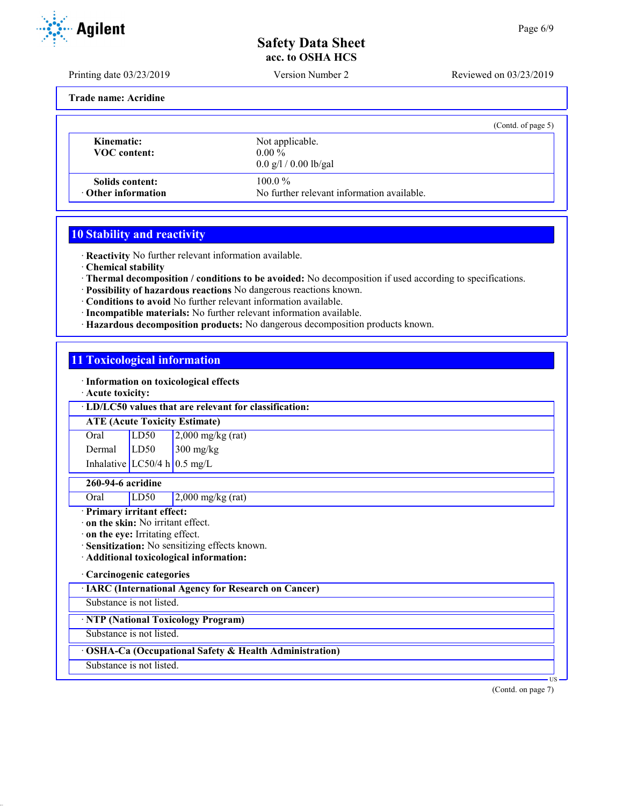Printing date 03/23/2019 Version Number 2 Reviewed on 03/23/2019

**Trade name: Acridine**

|                                              |                                                                     | (Contd. of page 5) |
|----------------------------------------------|---------------------------------------------------------------------|--------------------|
| Kinematic:<br>VOC content:                   | Not applicable.<br>$0.00\%$<br>$0.0 \frac{g}{1} / 0.00 \frac{g}{g}$ |                    |
| Solids content:<br>$\cdot$ Other information | $100.0\%$<br>No further relevant information available.             |                    |

# **10 Stability and reactivity**

· **Reactivity** No further relevant information available.

- · **Chemical stability**
- · **Thermal decomposition / conditions to be avoided:** No decomposition if used according to specifications.
- · **Possibility of hazardous reactions** No dangerous reactions known.
- · **Conditions to avoid** No further relevant information available.
- · **Incompatible materials:** No further relevant information available.
- · **Hazardous decomposition products:** No dangerous decomposition products known.

# **11 Toxicological information**

· **Information on toxicological effects**

· **Acute toxicity:**

## · **LD/LC50 values that are relevant for classification:**

## **ATE (Acute Toxicity Estimate)**

Oral LD50 2,000 mg/kg (rat) Dermal LD50 300 mg/kg Inhalative  $LC50/4$  h 0.5 mg/L

## **260-94-6 acridine**

Oral LD50 2,000 mg/kg (rat)

# · **Primary irritant effect:**

· **on the skin:** No irritant effect.

- · **on the eye:** Irritating effect.
- · **Sensitization:** No sensitizing effects known.
- · **Additional toxicological information:**

## · **Carcinogenic categories**

· **IARC (International Agency for Research on Cancer)**

Substance is not listed.

· **NTP (National Toxicology Program)**

Substance is not listed.

## · **OSHA-Ca (Occupational Safety & Health Administration)**

Substance is not listed.

(Contd. on page 7)

**T**<sub>I</sub>C

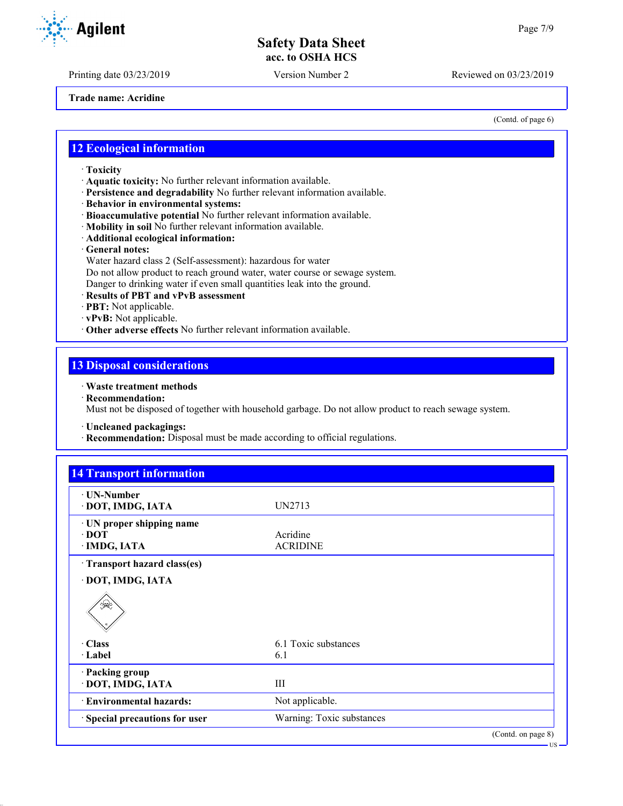Printing date 03/23/2019 Version Number 2 Reviewed on 03/23/2019

**Trade name: Acridine**

(Contd. of page 6)

US

## **12 Ecological information**

- · **Toxicity**
- · **Aquatic toxicity:** No further relevant information available.
- · **Persistence and degradability** No further relevant information available.
- · **Behavior in environmental systems:**
- · **Bioaccumulative potential** No further relevant information available.
- · **Mobility in soil** No further relevant information available.
- · **Additional ecological information:**
- · **General notes:**
- Water hazard class 2 (Self-assessment): hazardous for water
- Do not allow product to reach ground water, water course or sewage system.
- Danger to drinking water if even small quantities leak into the ground.
- · **Results of PBT and vPvB assessment**
- · **PBT:** Not applicable.
- · **vPvB:** Not applicable.
- · **Other adverse effects** No further relevant information available.

## **13 Disposal considerations**

## · **Waste treatment methods**

· **Recommendation:**

Must not be disposed of together with household garbage. Do not allow product to reach sewage system.

- · **Uncleaned packagings:**
- · **Recommendation:** Disposal must be made according to official regulations.

| $\cdot$ UN-Number<br>· DOT, IMDG, IATA | UN2713               |  |
|----------------------------------------|----------------------|--|
|                                        |                      |  |
| · UN proper shipping name              |                      |  |
| $\cdot$ DOT                            | Acridine             |  |
| · IMDG, IATA                           | <b>ACRIDINE</b>      |  |
| · Transport hazard class(es)           |                      |  |
| · DOT, IMDG, IATA                      |                      |  |
| ॳ≪                                     |                      |  |
|                                        |                      |  |
| · Class                                | 6.1 Toxic substances |  |
| · Label                                | 6.1                  |  |
| · Packing group                        |                      |  |
| · DOT, IMDG, IATA                      | III                  |  |
| · Environmental hazards:               | Not applicable.      |  |

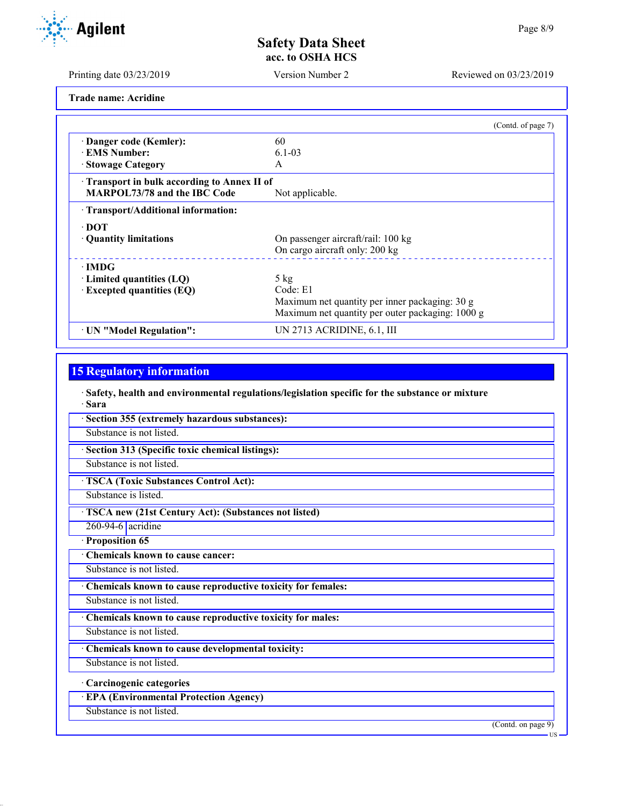Printing date 03/23/2019 Version Number 2 Reviewed on 03/23/2019

**Trade name: Acridine**

|                                                   | (Contd. of page 7)                               |
|---------------------------------------------------|--------------------------------------------------|
| · Danger code (Kemler):                           | 60                                               |
| <b>EMS Number:</b>                                | $6.1 - 0.3$                                      |
| · Stowage Category                                | A                                                |
| <b>Transport in bulk according to Annex II of</b> |                                                  |
| MARPOL73/78 and the IBC Code                      | Not applicable.                                  |
| · Transport/Additional information:               |                                                  |
| ∙ DOT                                             |                                                  |
| • Quantity limitations                            | On passenger aircraft/rail: 100 kg               |
|                                                   | On cargo aircraft only: 200 kg                   |
| $\cdot$ IMDG                                      |                                                  |
| $\cdot$ Limited quantities (LQ)                   | $5$ kg                                           |
| $\cdot$ Excepted quantities (EQ)                  | Code: E1                                         |
|                                                   | Maximum net quantity per inner packaging: 30 g   |
|                                                   | Maximum net quantity per outer packaging: 1000 g |
| · UN "Model Regulation":                          | UN 2713 ACRIDINE, 6.1, III                       |

# **15 Regulatory information**

· **Safety, health and environmental regulations/legislation specific for the substance or mixture** · **Sara**

· **Section 355 (extremely hazardous substances):**

Substance is not listed.

· **Section 313 (Specific toxic chemical listings):**

Substance is not listed.

· **TSCA (Toxic Substances Control Act):**

Substance is listed.

· **TSCA new (21st Century Act): (Substances not listed)**

260-94-6 acridine

· **Proposition 65**

· **Chemicals known to cause cancer:**

Substance is not listed.

· **Chemicals known to cause reproductive toxicity for females:**

Substance is not listed.

· **Chemicals known to cause reproductive toxicity for males:**

Substance is not listed.

· **Chemicals known to cause developmental toxicity:**

Substance is not listed.

· **Carcinogenic categories**

· **EPA (Environmental Protection Agency)**

Substance is not listed.

(Contd. on page 9)

US

Agilent